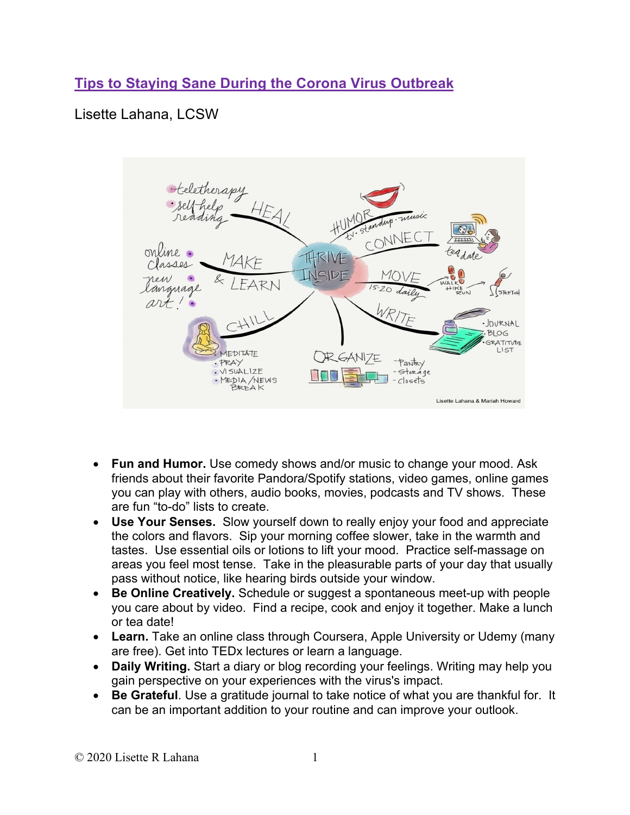## **Tips to Staying Sane During the Corona Virus Outbreak**

## Lisette Lahana, LCSW



- **Fun and Humor.** Use comedy shows and/or music to change your mood. Ask friends about their favorite Pandora/Spotify stations, video games, online games you can play with others, audio books, movies, podcasts and TV shows. These are fun "to-do" lists to create.
- **Use Your Senses.** Slow yourself down to really enjoy your food and appreciate the colors and flavors. Sip your morning coffee slower, take in the warmth and tastes. Use essential oils or lotions to lift your mood. Practice self-massage on areas you feel most tense. Take in the pleasurable parts of your day that usually pass without notice, like hearing birds outside your window.
- **Be Online Creatively.** Schedule or suggest a spontaneous meet-up with people you care about by video. Find a recipe, cook and enjoy it together. Make a lunch or tea date!
- **Learn.** Take an online class through Coursera, Apple University or Udemy (many are free). Get into TEDx lectures or learn a language.
- **Daily Writing.** Start a diary or blog recording your feelings. Writing may help you gain perspective on your experiences with the virus's impact.
- **Be Grateful**. Use a gratitude journal to take notice of what you are thankful for. It can be an important addition to your routine and can improve your outlook.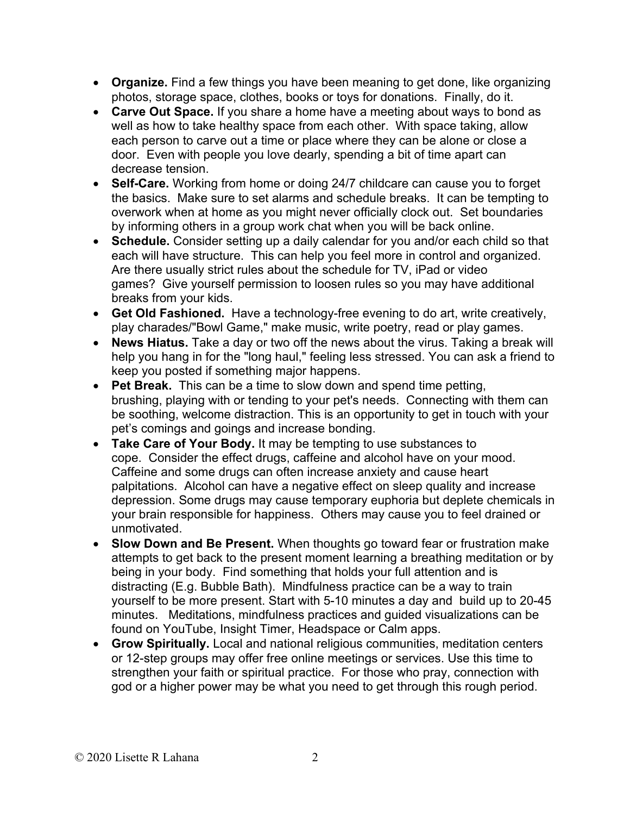- **Organize.** Find a few things you have been meaning to get done, like organizing photos, storage space, clothes, books or toys for donations. Finally, do it.
- **Carve Out Space.** If you share a home have a meeting about ways to bond as well as how to take healthy space from each other. With space taking, allow each person to carve out a time or place where they can be alone or close a door. Even with people you love dearly, spending a bit of time apart can decrease tension.
- **Self-Care.** Working from home or doing 24/7 childcare can cause you to forget the basics. Make sure to set alarms and schedule breaks. It can be tempting to overwork when at home as you might never officially clock out. Set boundaries by informing others in a group work chat when you will be back online.
- **Schedule.** Consider setting up a daily calendar for you and/or each child so that each will have structure. This can help you feel more in control and organized. Are there usually strict rules about the schedule for TV, iPad or video games? Give yourself permission to loosen rules so you may have additional breaks from your kids.
- **Get Old Fashioned.** Have a technology-free evening to do art, write creatively, play charades/"Bowl Game," make music, write poetry, read or play games.
- **News Hiatus.** Take a day or two off the news about the virus. Taking a break will help you hang in for the "long haul," feeling less stressed. You can ask a friend to keep you posted if something major happens.
- **Pet Break.** This can be a time to slow down and spend time petting, brushing, playing with or tending to your pet's needs. Connecting with them can be soothing, welcome distraction. This is an opportunity to get in touch with your pet's comings and goings and increase bonding.
- **Take Care of Your Body.** It may be tempting to use substances to cope. Consider the effect drugs, caffeine and alcohol have on your mood. Caffeine and some drugs can often increase anxiety and cause heart palpitations. Alcohol can have a negative effect on sleep quality and increase depression. Some drugs may cause temporary euphoria but deplete chemicals in your brain responsible for happiness. Others may cause you to feel drained or unmotivated.
- **Slow Down and Be Present.** When thoughts go toward fear or frustration make attempts to get back to the present moment learning a breathing meditation or by being in your body. Find something that holds your full attention and is distracting (E.g. Bubble Bath). Mindfulness practice can be a way to train yourself to be more present. Start with 5-10 minutes a day and build up to 20-45 minutes. Meditations, mindfulness practices and guided visualizations can be found on YouTube, Insight Timer, Headspace or Calm apps.
- **Grow Spiritually.** Local and national religious communities, meditation centers or 12-step groups may offer free online meetings or services. Use this time to strengthen your faith or spiritual practice. For those who pray, connection with god or a higher power may be what you need to get through this rough period.